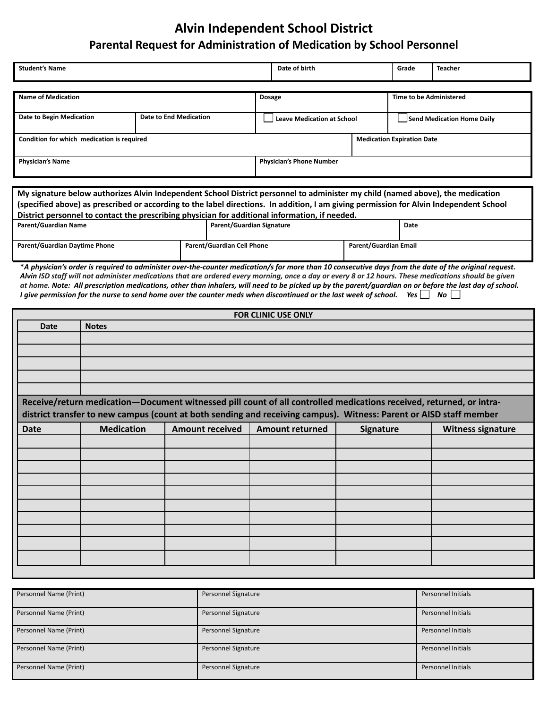## **Alvin Independent School District Parental Request for Administration of Medication by School Personnel**

| <b>Student's Name</b>                                     |  |  | Date of birth                     |                                | Grade                             | Teacher |  |
|-----------------------------------------------------------|--|--|-----------------------------------|--------------------------------|-----------------------------------|---------|--|
| <b>Name of Medication</b>                                 |  |  |                                   | <b>Time to be Administered</b> |                                   |         |  |
|                                                           |  |  | <b>Dosage</b>                     |                                |                                   |         |  |
| Date to Begin Medication<br><b>Date to End Medication</b> |  |  | <b>Leave Medication at School</b> |                                | Send Medication Home Daily        |         |  |
| Condition for which medication is required                |  |  |                                   |                                | <b>Medication Expiration Date</b> |         |  |
| <b>Physician's Name</b>                                   |  |  | <b>Physician's Phone Number</b>   |                                |                                   |         |  |

| My signature below authorizes Alvin Independent School District personnel to administer my child (named above), the medication        |                            |                           |                       |      |  |  |  |
|---------------------------------------------------------------------------------------------------------------------------------------|----------------------------|---------------------------|-----------------------|------|--|--|--|
| specified above) as prescribed or according to the label directions. In addition, I am giving permission for Alvin Independent School |                            |                           |                       |      |  |  |  |
| District personnel to contact the prescribing physician for additional information, if needed.                                        |                            |                           |                       |      |  |  |  |
| Parent/Guardian Name                                                                                                                  |                            | Parent/Guardian Signature |                       | Date |  |  |  |
|                                                                                                                                       |                            |                           |                       |      |  |  |  |
| <b>Parent/Guardian Daytime Phone</b>                                                                                                  | Parent/Guardian Cell Phone |                           | Parent/Guardian Email |      |  |  |  |

**\****A physician's order is required to administer over-the-counter medication/s for more than 10 consecutive days from the date of the original request. Alvin ISD staff will not administer medications that are ordered every morning, once a day or every 8 or 12 hours. These medications should be given at home. Note: All prescription medications, other than inhalers, will need to be picked up by the parent/guardian on or before the last day of school. I* give permission for the nurse to send home over the counter meds when discontinued or the last week of school. Yes  $\Box$  No  $\Box$ 

| <b>FOR CLINIC USE ONLY</b>                                                                                                                                                                                                                |                   |                                                  |  |           |                          |  |  |  |  |  |
|-------------------------------------------------------------------------------------------------------------------------------------------------------------------------------------------------------------------------------------------|-------------------|--------------------------------------------------|--|-----------|--------------------------|--|--|--|--|--|
| <b>Date</b>                                                                                                                                                                                                                               | <b>Notes</b>      |                                                  |  |           |                          |  |  |  |  |  |
|                                                                                                                                                                                                                                           |                   |                                                  |  |           |                          |  |  |  |  |  |
|                                                                                                                                                                                                                                           |                   |                                                  |  |           |                          |  |  |  |  |  |
|                                                                                                                                                                                                                                           |                   |                                                  |  |           |                          |  |  |  |  |  |
|                                                                                                                                                                                                                                           |                   |                                                  |  |           |                          |  |  |  |  |  |
|                                                                                                                                                                                                                                           |                   |                                                  |  |           |                          |  |  |  |  |  |
| Receive/return medication-Document witnessed pill count of all controlled medications received, returned, or intra-<br>district transfer to new campus (count at both sending and receiving campus). Witness: Parent or AISD staff member |                   |                                                  |  |           |                          |  |  |  |  |  |
| <b>Date</b>                                                                                                                                                                                                                               | <b>Medication</b> | <b>Amount received</b><br><b>Amount returned</b> |  | Signature | <b>Witness signature</b> |  |  |  |  |  |
|                                                                                                                                                                                                                                           |                   |                                                  |  |           |                          |  |  |  |  |  |
|                                                                                                                                                                                                                                           |                   |                                                  |  |           |                          |  |  |  |  |  |
|                                                                                                                                                                                                                                           |                   |                                                  |  |           |                          |  |  |  |  |  |
|                                                                                                                                                                                                                                           |                   |                                                  |  |           |                          |  |  |  |  |  |
|                                                                                                                                                                                                                                           |                   |                                                  |  |           |                          |  |  |  |  |  |
|                                                                                                                                                                                                                                           |                   |                                                  |  |           |                          |  |  |  |  |  |
|                                                                                                                                                                                                                                           |                   |                                                  |  |           |                          |  |  |  |  |  |
|                                                                                                                                                                                                                                           |                   |                                                  |  |           |                          |  |  |  |  |  |
|                                                                                                                                                                                                                                           |                   |                                                  |  |           |                          |  |  |  |  |  |
|                                                                                                                                                                                                                                           |                   |                                                  |  |           |                          |  |  |  |  |  |
|                                                                                                                                                                                                                                           |                   |                                                  |  |           |                          |  |  |  |  |  |

| Personnel Name (Print) | Personnel Signature | <b>Personnel Initials</b> |
|------------------------|---------------------|---------------------------|
|                        |                     |                           |
| Personnel Name (Print) | Personnel Signature | <b>Personnel Initials</b> |
|                        |                     |                           |
| Personnel Name (Print) | Personnel Signature | <b>Personnel Initials</b> |
|                        |                     |                           |
| Personnel Name (Print) | Personnel Signature | <b>Personnel Initials</b> |
|                        |                     |                           |
| Personnel Name (Print) | Personnel Signature | <b>Personnel Initials</b> |
|                        |                     |                           |